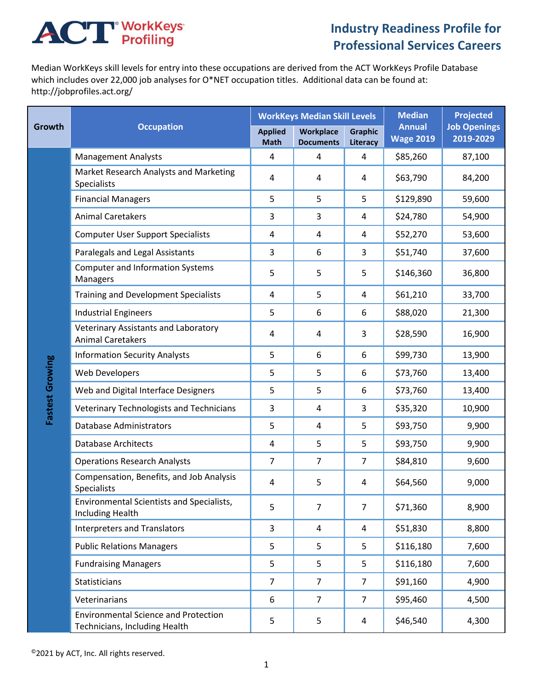## **ACT** WorkKeys

## **Industry Readiness Profile for Professional Services Careers**

Median WorkKeys skill levels for entry into these occupations are derived from the ACT WorkKeys Profile Database which includes over 22,000 job analyses for O\*NET occupation titles. Additional data can be found at: http://jobprofiles.act.org/

| Growth          | <b>Occupation</b>                                                            | <b>WorkKeys Median Skill Levels</b> |                               |                            | <b>Median</b>                     | <b>Projected</b>                 |
|-----------------|------------------------------------------------------------------------------|-------------------------------------|-------------------------------|----------------------------|-----------------------------------|----------------------------------|
|                 |                                                                              | <b>Applied</b><br><b>Math</b>       | Workplace<br><b>Documents</b> | <b>Graphic</b><br>Literacy | <b>Annual</b><br><b>Wage 2019</b> | <b>Job Openings</b><br>2019-2029 |
| Fastest Growing | <b>Management Analysts</b>                                                   | 4                                   | 4                             | 4                          | \$85,260                          | 87,100                           |
|                 | Market Research Analysts and Marketing<br>Specialists                        | 4                                   | 4                             | 4                          | \$63,790                          | 84,200                           |
|                 | <b>Financial Managers</b>                                                    | 5                                   | 5                             | 5                          | \$129,890                         | 59,600                           |
|                 | <b>Animal Caretakers</b>                                                     | 3                                   | 3                             | 4                          | \$24,780                          | 54,900                           |
|                 | <b>Computer User Support Specialists</b>                                     | 4                                   | 4                             | 4                          | \$52,270                          | 53,600                           |
|                 | Paralegals and Legal Assistants                                              | 3                                   | 6                             | 3                          | \$51,740                          | 37,600                           |
|                 | <b>Computer and Information Systems</b><br>Managers                          | 5                                   | 5                             | 5                          | \$146,360                         | 36,800                           |
|                 | <b>Training and Development Specialists</b>                                  | $\overline{4}$                      | 5                             | 4                          | \$61,210                          | 33,700                           |
|                 | <b>Industrial Engineers</b>                                                  | 5                                   | 6                             | 6                          | \$88,020                          | 21,300                           |
|                 | Veterinary Assistants and Laboratory<br><b>Animal Caretakers</b>             | 4                                   | 4                             | 3                          | \$28,590                          | 16,900                           |
|                 | <b>Information Security Analysts</b>                                         | 5                                   | 6                             | 6                          | \$99,730                          | 13,900                           |
|                 | <b>Web Developers</b>                                                        | 5                                   | 5                             | 6                          | \$73,760                          | 13,400                           |
|                 | Web and Digital Interface Designers                                          | 5                                   | 5                             | 6                          | \$73,760                          | 13,400                           |
|                 | Veterinary Technologists and Technicians                                     | 3                                   | 4                             | 3                          | \$35,320                          | 10,900                           |
|                 | <b>Database Administrators</b>                                               | 5                                   | 4                             | 5                          | \$93,750                          | 9,900                            |
|                 | <b>Database Architects</b>                                                   | 4                                   | 5                             | 5                          | \$93,750                          | 9,900                            |
|                 | <b>Operations Research Analysts</b>                                          | $\overline{7}$                      | $\overline{7}$                | $\overline{7}$             | \$84,810                          | 9,600                            |
|                 | Compensation, Benefits, and Job Analysis<br><b>Specialists</b>               | 4                                   | 5                             | 4                          | \$64,560                          | 9,000                            |
|                 | Environmental Scientists and Specialists,<br>Including Health                | 5                                   | $\overline{7}$                | $\overline{7}$             | \$71,360                          | 8,900                            |
|                 | <b>Interpreters and Translators</b>                                          | 3                                   | 4                             | 4                          | \$51,830                          | 8,800                            |
|                 | <b>Public Relations Managers</b>                                             | 5                                   | 5                             | 5                          | \$116,180                         | 7,600                            |
|                 | <b>Fundraising Managers</b>                                                  | 5                                   | 5                             | 5                          | \$116,180                         | 7,600                            |
|                 | Statisticians                                                                | $\overline{7}$                      | $\overline{7}$                | $\overline{7}$             | \$91,160                          | 4,900                            |
|                 | Veterinarians                                                                | 6                                   | 7                             | $\overline{7}$             | \$95,460                          | 4,500                            |
|                 | <b>Environmental Science and Protection</b><br>Technicians, Including Health | 5                                   | 5                             | 4                          | \$46,540                          | 4,300                            |